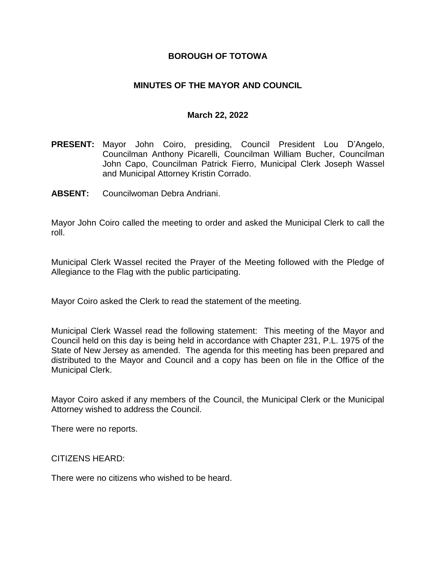## **BOROUGH OF TOTOWA**

## **MINUTES OF THE MAYOR AND COUNCIL**

#### **March 22, 2022**

- **PRESENT:** Mayor John Coiro, presiding, Council President Lou D'Angelo, Councilman Anthony Picarelli, Councilman William Bucher, Councilman John Capo, Councilman Patrick Fierro, Municipal Clerk Joseph Wassel and Municipal Attorney Kristin Corrado.
- **ABSENT:** Councilwoman Debra Andriani.

Mayor John Coiro called the meeting to order and asked the Municipal Clerk to call the roll.

Municipal Clerk Wassel recited the Prayer of the Meeting followed with the Pledge of Allegiance to the Flag with the public participating.

Mayor Coiro asked the Clerk to read the statement of the meeting.

Municipal Clerk Wassel read the following statement: This meeting of the Mayor and Council held on this day is being held in accordance with Chapter 231, P.L. 1975 of the State of New Jersey as amended. The agenda for this meeting has been prepared and distributed to the Mayor and Council and a copy has been on file in the Office of the Municipal Clerk.

Mayor Coiro asked if any members of the Council, the Municipal Clerk or the Municipal Attorney wished to address the Council.

There were no reports.

CITIZENS HEARD:

There were no citizens who wished to be heard.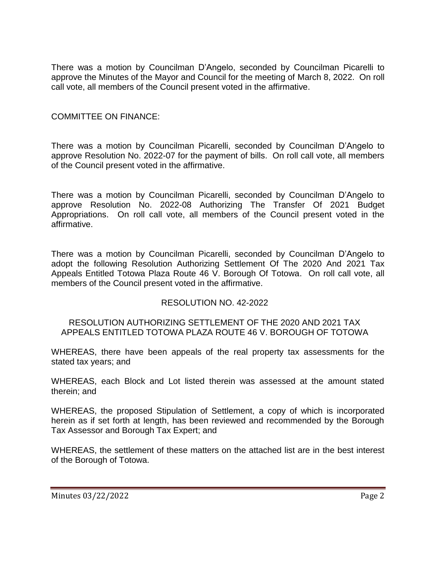There was a motion by Councilman D'Angelo, seconded by Councilman Picarelli to approve the Minutes of the Mayor and Council for the meeting of March 8, 2022. On roll call vote, all members of the Council present voted in the affirmative.

## COMMITTEE ON FINANCE:

There was a motion by Councilman Picarelli, seconded by Councilman D'Angelo to approve Resolution No. 2022-07 for the payment of bills. On roll call vote, all members of the Council present voted in the affirmative.

There was a motion by Councilman Picarelli, seconded by Councilman D'Angelo to approve Resolution No. 2022-08 Authorizing The Transfer Of 2021 Budget Appropriations. On roll call vote, all members of the Council present voted in the affirmative.

There was a motion by Councilman Picarelli, seconded by Councilman D'Angelo to adopt the following Resolution Authorizing Settlement Of The 2020 And 2021 Tax Appeals Entitled Totowa Plaza Route 46 V. Borough Of Totowa. On roll call vote, all members of the Council present voted in the affirmative.

### RESOLUTION NO. 42-2022

### RESOLUTION AUTHORIZING SETTLEMENT OF THE 2020 AND 2021 TAX APPEALS ENTITLED TOTOWA PLAZA ROUTE 46 V. BOROUGH OF TOTOWA

WHEREAS, there have been appeals of the real property tax assessments for the stated tax years; and

WHEREAS, each Block and Lot listed therein was assessed at the amount stated therein; and

WHEREAS, the proposed Stipulation of Settlement, a copy of which is incorporated herein as if set forth at length, has been reviewed and recommended by the Borough Tax Assessor and Borough Tax Expert; and

WHEREAS, the settlement of these matters on the attached list are in the best interest of the Borough of Totowa.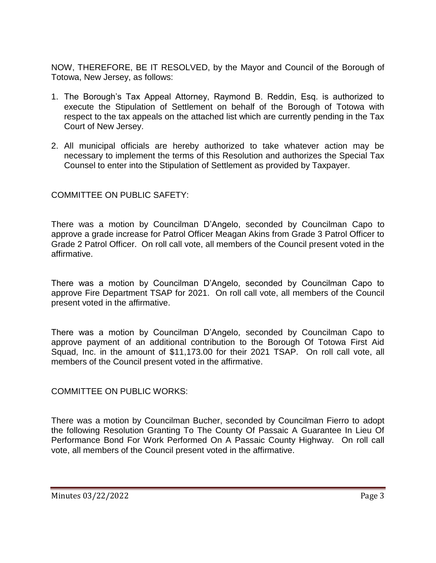NOW, THEREFORE, BE IT RESOLVED, by the Mayor and Council of the Borough of Totowa, New Jersey, as follows:

- 1. The Borough's Tax Appeal Attorney, Raymond B. Reddin, Esq. is authorized to execute the Stipulation of Settlement on behalf of the Borough of Totowa with respect to the tax appeals on the attached list which are currently pending in the Tax Court of New Jersey.
- 2. All municipal officials are hereby authorized to take whatever action may be necessary to implement the terms of this Resolution and authorizes the Special Tax Counsel to enter into the Stipulation of Settlement as provided by Taxpayer.

# COMMITTEE ON PUBLIC SAFETY:

There was a motion by Councilman D'Angelo, seconded by Councilman Capo to approve a grade increase for Patrol Officer Meagan Akins from Grade 3 Patrol Officer to Grade 2 Patrol Officer. On roll call vote, all members of the Council present voted in the affirmative.

There was a motion by Councilman D'Angelo, seconded by Councilman Capo to approve Fire Department TSAP for 2021. On roll call vote, all members of the Council present voted in the affirmative.

There was a motion by Councilman D'Angelo, seconded by Councilman Capo to approve payment of an additional contribution to the Borough Of Totowa First Aid Squad, Inc. in the amount of \$11,173.00 for their 2021 TSAP. On roll call vote, all members of the Council present voted in the affirmative.

COMMITTEE ON PUBLIC WORKS:

There was a motion by Councilman Bucher, seconded by Councilman Fierro to adopt the following Resolution Granting To The County Of Passaic A Guarantee In Lieu Of Performance Bond For Work Performed On A Passaic County Highway. On roll call vote, all members of the Council present voted in the affirmative.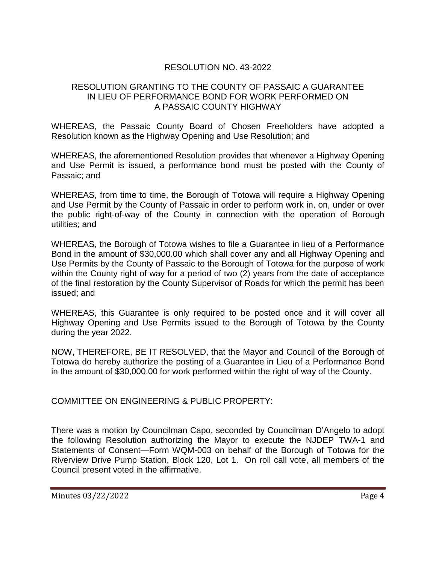# RESOLUTION NO. 43-2022

### RESOLUTION GRANTING TO THE COUNTY OF PASSAIC A GUARANTEE IN LIEU OF PERFORMANCE BOND FOR WORK PERFORMED ON A PASSAIC COUNTY HIGHWAY

WHEREAS, the Passaic County Board of Chosen Freeholders have adopted a Resolution known as the Highway Opening and Use Resolution; and

WHEREAS, the aforementioned Resolution provides that whenever a Highway Opening and Use Permit is issued, a performance bond must be posted with the County of Passaic; and

WHEREAS, from time to time, the Borough of Totowa will require a Highway Opening and Use Permit by the County of Passaic in order to perform work in, on, under or over the public right-of-way of the County in connection with the operation of Borough utilities; and

WHEREAS, the Borough of Totowa wishes to file a Guarantee in lieu of a Performance Bond in the amount of \$30,000.00 which shall cover any and all Highway Opening and Use Permits by the County of Passaic to the Borough of Totowa for the purpose of work within the County right of way for a period of two (2) years from the date of acceptance of the final restoration by the County Supervisor of Roads for which the permit has been issued; and

WHEREAS, this Guarantee is only required to be posted once and it will cover all Highway Opening and Use Permits issued to the Borough of Totowa by the County during the year 2022.

NOW, THEREFORE, BE IT RESOLVED, that the Mayor and Council of the Borough of Totowa do hereby authorize the posting of a Guarantee in Lieu of a Performance Bond in the amount of \$30,000.00 for work performed within the right of way of the County.

COMMITTEE ON ENGINEERING & PUBLIC PROPERTY:

There was a motion by Councilman Capo, seconded by Councilman D'Angelo to adopt the following Resolution authorizing the Mayor to execute the NJDEP TWA-1 and Statements of Consent—Form WQM-003 on behalf of the Borough of Totowa for the Riverview Drive Pump Station, Block 120, Lot 1. On roll call vote, all members of the Council present voted in the affirmative.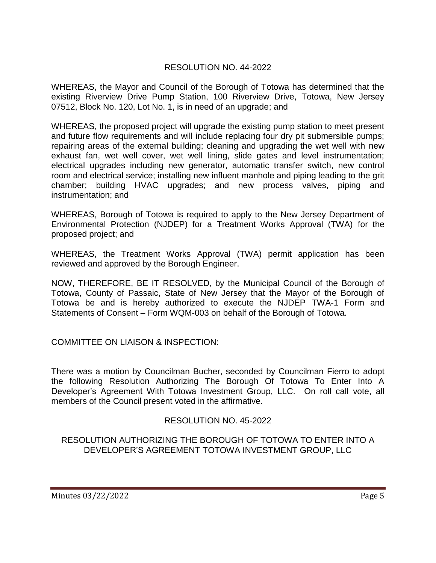# RESOLUTION NO. 44-2022

WHEREAS, the Mayor and Council of the Borough of Totowa has determined that the existing Riverview Drive Pump Station, 100 Riverview Drive, Totowa, New Jersey 07512, Block No. 120, Lot No. 1, is in need of an upgrade; and

WHEREAS, the proposed project will upgrade the existing pump station to meet present and future flow requirements and will include replacing four dry pit submersible pumps; repairing areas of the external building; cleaning and upgrading the wet well with new exhaust fan, wet well cover, wet well lining, slide gates and level instrumentation; electrical upgrades including new generator, automatic transfer switch, new control room and electrical service; installing new influent manhole and piping leading to the grit chamber; building HVAC upgrades; and new process valves, piping and instrumentation; and

WHEREAS, Borough of Totowa is required to apply to the New Jersey Department of Environmental Protection (NJDEP) for a Treatment Works Approval (TWA) for the proposed project; and

WHEREAS, the Treatment Works Approval (TWA) permit application has been reviewed and approved by the Borough Engineer.

NOW, THEREFORE, BE IT RESOLVED, by the Municipal Council of the Borough of Totowa, County of Passaic, State of New Jersey that the Mayor of the Borough of Totowa be and is hereby authorized to execute the NJDEP TWA-1 Form and Statements of Consent – Form WQM-003 on behalf of the Borough of Totowa.

COMMITTEE ON LIAISON & INSPECTION:

There was a motion by Councilman Bucher, seconded by Councilman Fierro to adopt the following Resolution Authorizing The Borough Of Totowa To Enter Into A Developer's Agreement With Totowa Investment Group, LLC. On roll call vote, all members of the Council present voted in the affirmative.

# RESOLUTION NO. 45-2022

RESOLUTION AUTHORIZING THE BOROUGH OF TOTOWA TO ENTER INTO A DEVELOPER'S AGREEMENT TOTOWA INVESTMENT GROUP, LLC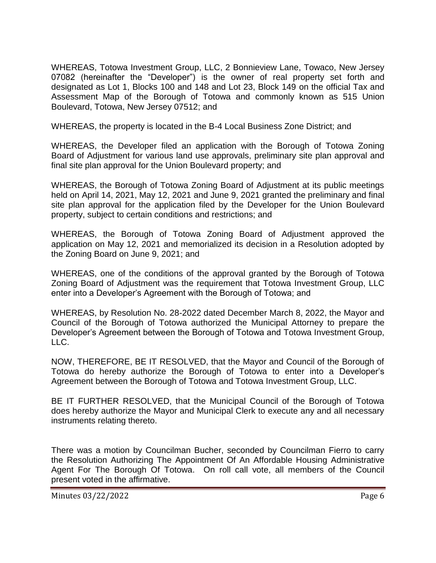WHEREAS, Totowa Investment Group, LLC, 2 Bonnieview Lane, Towaco, New Jersey 07082 (hereinafter the "Developer") is the owner of real property set forth and designated as Lot 1, Blocks 100 and 148 and Lot 23, Block 149 on the official Tax and Assessment Map of the Borough of Totowa and commonly known as 515 Union Boulevard, Totowa, New Jersey 07512; and

WHEREAS, the property is located in the B-4 Local Business Zone District; and

WHEREAS, the Developer filed an application with the Borough of Totowa Zoning Board of Adjustment for various land use approvals, preliminary site plan approval and final site plan approval for the Union Boulevard property; and

WHEREAS, the Borough of Totowa Zoning Board of Adjustment at its public meetings held on April 14, 2021, May 12, 2021 and June 9, 2021 granted the preliminary and final site plan approval for the application filed by the Developer for the Union Boulevard property, subject to certain conditions and restrictions; and

WHEREAS, the Borough of Totowa Zoning Board of Adjustment approved the application on May 12, 2021 and memorialized its decision in a Resolution adopted by the Zoning Board on June 9, 2021; and

WHEREAS, one of the conditions of the approval granted by the Borough of Totowa Zoning Board of Adjustment was the requirement that Totowa Investment Group, LLC enter into a Developer's Agreement with the Borough of Totowa; and

WHEREAS, by Resolution No. 28-2022 dated December March 8, 2022, the Mayor and Council of the Borough of Totowa authorized the Municipal Attorney to prepare the Developer's Agreement between the Borough of Totowa and Totowa Investment Group, LLC.

NOW, THEREFORE, BE IT RESOLVED, that the Mayor and Council of the Borough of Totowa do hereby authorize the Borough of Totowa to enter into a Developer's Agreement between the Borough of Totowa and Totowa Investment Group, LLC.

BE IT FURTHER RESOLVED, that the Municipal Council of the Borough of Totowa does hereby authorize the Mayor and Municipal Clerk to execute any and all necessary instruments relating thereto.

There was a motion by Councilman Bucher, seconded by Councilman Fierro to carry the Resolution Authorizing The Appointment Of An Affordable Housing Administrative Agent For The Borough Of Totowa. On roll call vote, all members of the Council present voted in the affirmative.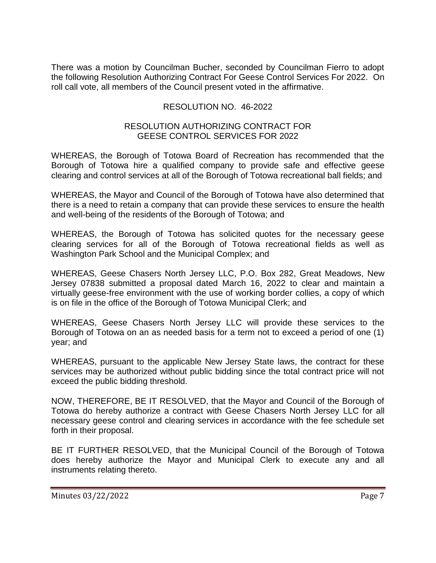There was a motion by Councilman Bucher, seconded by Councilman Fierro to adopt the following Resolution Authorizing Contract For Geese Control Services For 2022. On roll call vote, all members of the Council present voted in the affirmative.

# RESOLUTION NO. 46-2022

## RESOLUTION AUTHORIZING CONTRACT FOR GEESE CONTROL SERVICES FOR 2022

WHEREAS, the Borough of Totowa Board of Recreation has recommended that the Borough of Totowa hire a qualified company to provide safe and effective geese clearing and control services at all of the Borough of Totowa recreational ball fields; and

WHEREAS, the Mayor and Council of the Borough of Totowa have also determined that there is a need to retain a company that can provide these services to ensure the health and well-being of the residents of the Borough of Totowa; and

WHEREAS, the Borough of Totowa has solicited quotes for the necessary geese clearing services for all of the Borough of Totowa recreational fields as well as Washington Park School and the Municipal Complex; and

WHEREAS, Geese Chasers North Jersey LLC, P.O. Box 282, Great Meadows, New Jersey 07838 submitted a proposal dated March 16, 2022 to clear and maintain a virtually geese-free environment with the use of working border collies, a copy of which is on file in the office of the Borough of Totowa Municipal Clerk; and

WHEREAS, Geese Chasers North Jersey LLC will provide these services to the Borough of Totowa on an as needed basis for a term not to exceed a period of one (1) year; and

WHEREAS, pursuant to the applicable New Jersey State laws, the contract for these services may be authorized without public bidding since the total contract price will not exceed the public bidding threshold.

NOW, THEREFORE, BE IT RESOLVED, that the Mayor and Council of the Borough of Totowa do hereby authorize a contract with Geese Chasers North Jersey LLC for all necessary geese control and clearing services in accordance with the fee schedule set forth in their proposal.

BE IT FURTHER RESOLVED, that the Municipal Council of the Borough of Totowa does hereby authorize the Mayor and Municipal Clerk to execute any and all instruments relating thereto.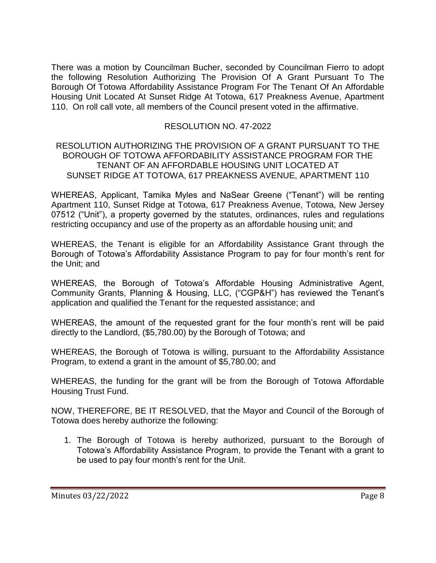There was a motion by Councilman Bucher, seconded by Councilman Fierro to adopt the following Resolution Authorizing The Provision Of A Grant Pursuant To The Borough Of Totowa Affordability Assistance Program For The Tenant Of An Affordable Housing Unit Located At Sunset Ridge At Totowa, 617 Preakness Avenue, Apartment 110. On roll call vote, all members of the Council present voted in the affirmative.

## RESOLUTION NO. 47-2022

#### RESOLUTION AUTHORIZING THE PROVISION OF A GRANT PURSUANT TO THE BOROUGH OF TOTOWA AFFORDABILITY ASSISTANCE PROGRAM FOR THE TENANT OF AN AFFORDABLE HOUSING UNIT LOCATED AT SUNSET RIDGE AT TOTOWA, 617 PREAKNESS AVENUE, APARTMENT 110

WHEREAS, Applicant, Tamika Myles and NaSear Greene ("Tenant") will be renting Apartment 110, Sunset Ridge at Totowa, 617 Preakness Avenue, Totowa, New Jersey 07512 ("Unit"), a property governed by the statutes, ordinances, rules and regulations restricting occupancy and use of the property as an affordable housing unit; and

WHEREAS, the Tenant is eligible for an Affordability Assistance Grant through the Borough of Totowa's Affordability Assistance Program to pay for four month's rent for the Unit; and

WHEREAS, the Borough of Totowa's Affordable Housing Administrative Agent, Community Grants, Planning & Housing, LLC, ("CGP&H") has reviewed the Tenant's application and qualified the Tenant for the requested assistance; and

WHEREAS, the amount of the requested grant for the four month's rent will be paid directly to the Landlord, (\$5,780.00) by the Borough of Totowa; and

WHEREAS, the Borough of Totowa is willing, pursuant to the Affordability Assistance Program, to extend a grant in the amount of \$5,780.00; and

WHEREAS, the funding for the grant will be from the Borough of Totowa Affordable Housing Trust Fund.

NOW, THEREFORE, BE IT RESOLVED, that the Mayor and Council of the Borough of Totowa does hereby authorize the following:

1. The Borough of Totowa is hereby authorized, pursuant to the Borough of Totowa's Affordability Assistance Program, to provide the Tenant with a grant to be used to pay four month's rent for the Unit.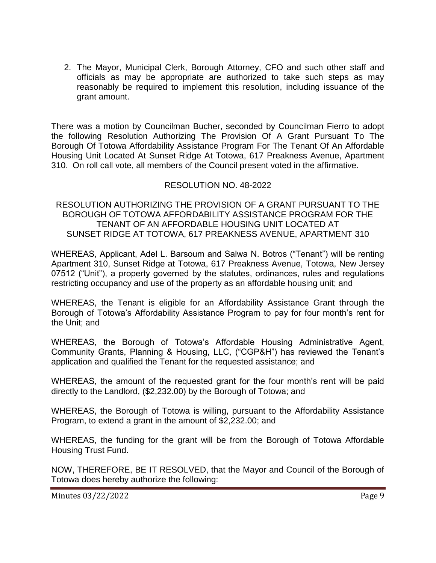2. The Mayor, Municipal Clerk, Borough Attorney, CFO and such other staff and officials as may be appropriate are authorized to take such steps as may reasonably be required to implement this resolution, including issuance of the grant amount.

There was a motion by Councilman Bucher, seconded by Councilman Fierro to adopt the following Resolution Authorizing The Provision Of A Grant Pursuant To The Borough Of Totowa Affordability Assistance Program For The Tenant Of An Affordable Housing Unit Located At Sunset Ridge At Totowa, 617 Preakness Avenue, Apartment 310. On roll call vote, all members of the Council present voted in the affirmative.

## RESOLUTION NO. 48-2022

#### RESOLUTION AUTHORIZING THE PROVISION OF A GRANT PURSUANT TO THE BOROUGH OF TOTOWA AFFORDABILITY ASSISTANCE PROGRAM FOR THE TENANT OF AN AFFORDABLE HOUSING UNIT LOCATED AT SUNSET RIDGE AT TOTOWA, 617 PREAKNESS AVENUE, APARTMENT 310

WHEREAS, Applicant, Adel L. Barsoum and Salwa N. Botros ("Tenant") will be renting Apartment 310, Sunset Ridge at Totowa, 617 Preakness Avenue, Totowa, New Jersey 07512 ("Unit"), a property governed by the statutes, ordinances, rules and regulations restricting occupancy and use of the property as an affordable housing unit; and

WHEREAS, the Tenant is eligible for an Affordability Assistance Grant through the Borough of Totowa's Affordability Assistance Program to pay for four month's rent for the Unit; and

WHEREAS, the Borough of Totowa's Affordable Housing Administrative Agent, Community Grants, Planning & Housing, LLC, ("CGP&H") has reviewed the Tenant's application and qualified the Tenant for the requested assistance; and

WHEREAS, the amount of the requested grant for the four month's rent will be paid directly to the Landlord, (\$2,232.00) by the Borough of Totowa; and

WHEREAS, the Borough of Totowa is willing, pursuant to the Affordability Assistance Program, to extend a grant in the amount of \$2,232.00; and

WHEREAS, the funding for the grant will be from the Borough of Totowa Affordable Housing Trust Fund.

NOW, THEREFORE, BE IT RESOLVED, that the Mayor and Council of the Borough of Totowa does hereby authorize the following:

Minutes 03/22/2022 **Page 9**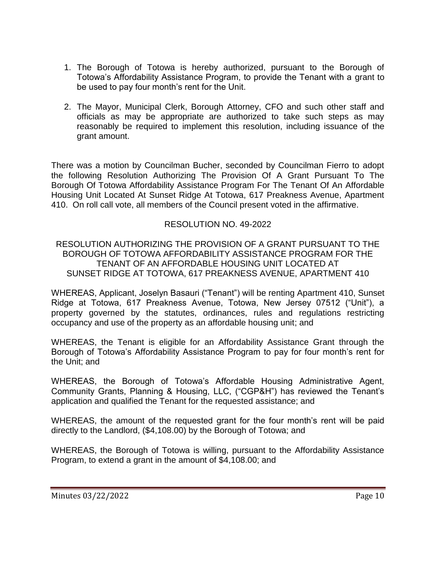- 1. The Borough of Totowa is hereby authorized, pursuant to the Borough of Totowa's Affordability Assistance Program, to provide the Tenant with a grant to be used to pay four month's rent for the Unit.
- 2. The Mayor, Municipal Clerk, Borough Attorney, CFO and such other staff and officials as may be appropriate are authorized to take such steps as may reasonably be required to implement this resolution, including issuance of the grant amount.

There was a motion by Councilman Bucher, seconded by Councilman Fierro to adopt the following Resolution Authorizing The Provision Of A Grant Pursuant To The Borough Of Totowa Affordability Assistance Program For The Tenant Of An Affordable Housing Unit Located At Sunset Ridge At Totowa, 617 Preakness Avenue, Apartment 410. On roll call vote, all members of the Council present voted in the affirmative.

# RESOLUTION NO. 49-2022

### RESOLUTION AUTHORIZING THE PROVISION OF A GRANT PURSUANT TO THE BOROUGH OF TOTOWA AFFORDABILITY ASSISTANCE PROGRAM FOR THE TENANT OF AN AFFORDABLE HOUSING UNIT LOCATED AT SUNSET RIDGE AT TOTOWA, 617 PREAKNESS AVENUE, APARTMENT 410

WHEREAS, Applicant, Joselyn Basauri ("Tenant") will be renting Apartment 410, Sunset Ridge at Totowa, 617 Preakness Avenue, Totowa, New Jersey 07512 ("Unit"), a property governed by the statutes, ordinances, rules and regulations restricting occupancy and use of the property as an affordable housing unit; and

WHEREAS, the Tenant is eligible for an Affordability Assistance Grant through the Borough of Totowa's Affordability Assistance Program to pay for four month's rent for the Unit; and

WHEREAS, the Borough of Totowa's Affordable Housing Administrative Agent, Community Grants, Planning & Housing, LLC, ("CGP&H") has reviewed the Tenant's application and qualified the Tenant for the requested assistance; and

WHEREAS, the amount of the requested grant for the four month's rent will be paid directly to the Landlord, (\$4,108.00) by the Borough of Totowa; and

WHEREAS, the Borough of Totowa is willing, pursuant to the Affordability Assistance Program, to extend a grant in the amount of \$4,108.00; and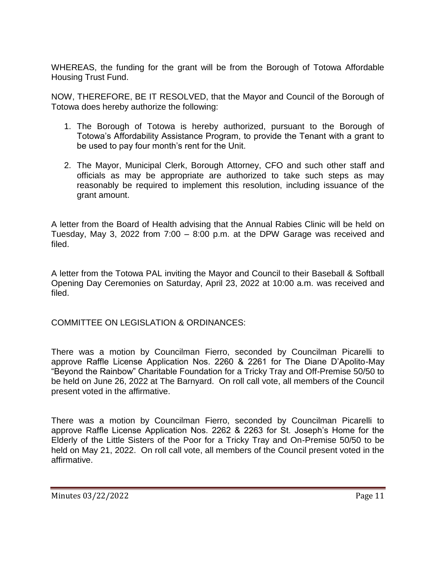WHEREAS, the funding for the grant will be from the Borough of Totowa Affordable Housing Trust Fund.

NOW, THEREFORE, BE IT RESOLVED, that the Mayor and Council of the Borough of Totowa does hereby authorize the following:

- 1. The Borough of Totowa is hereby authorized, pursuant to the Borough of Totowa's Affordability Assistance Program, to provide the Tenant with a grant to be used to pay four month's rent for the Unit.
- 2. The Mayor, Municipal Clerk, Borough Attorney, CFO and such other staff and officials as may be appropriate are authorized to take such steps as may reasonably be required to implement this resolution, including issuance of the grant amount.

A letter from the Board of Health advising that the Annual Rabies Clinic will be held on Tuesday, May 3, 2022 from 7:00 – 8:00 p.m. at the DPW Garage was received and filed.

A letter from the Totowa PAL inviting the Mayor and Council to their Baseball & Softball Opening Day Ceremonies on Saturday, April 23, 2022 at 10:00 a.m. was received and filed.

COMMITTEE ON LEGISLATION & ORDINANCES:

There was a motion by Councilman Fierro, seconded by Councilman Picarelli to approve Raffle License Application Nos. 2260 & 2261 for The Diane D'Apolito-May "Beyond the Rainbow" Charitable Foundation for a Tricky Tray and Off-Premise 50/50 to be held on June 26, 2022 at The Barnyard. On roll call vote, all members of the Council present voted in the affirmative.

There was a motion by Councilman Fierro, seconded by Councilman Picarelli to approve Raffle License Application Nos. 2262 & 2263 for St. Joseph's Home for the Elderly of the Little Sisters of the Poor for a Tricky Tray and On-Premise 50/50 to be held on May 21, 2022. On roll call vote, all members of the Council present voted in the affirmative.